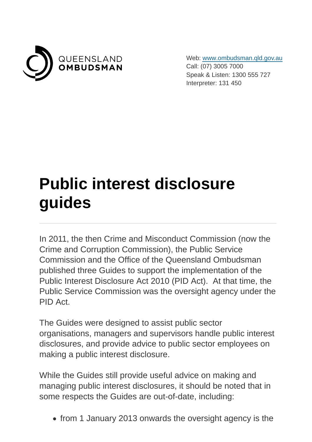

Web: [www.ombudsman.qld.gov.au](https://www.ombudsman.qld.gov.au/) Call: (07) 3005 7000 Speak & Listen: 1300 555 727 Interpreter: 131 450

## **Public interest disclosure guides**

In 2011, the then Crime and Misconduct Commission (now the Crime and Corruption Commission), the Public Service Commission and the Office of the Queensland Ombudsman published three Guides to support the implementation of the Public Interest Disclosure Act 2010 (PID Act). At that time, the Public Service Commission was the oversight agency under the PID Act.

The Guides were designed to assist public sector organisations, managers and supervisors handle public interest disclosures, and provide advice to public sector employees on making a public interest disclosure.

While the Guides still provide useful advice on making and managing public interest disclosures, it should be noted that in some respects the Guides are out-of-date, including:

• from 1 January 2013 onwards the oversight agency is the